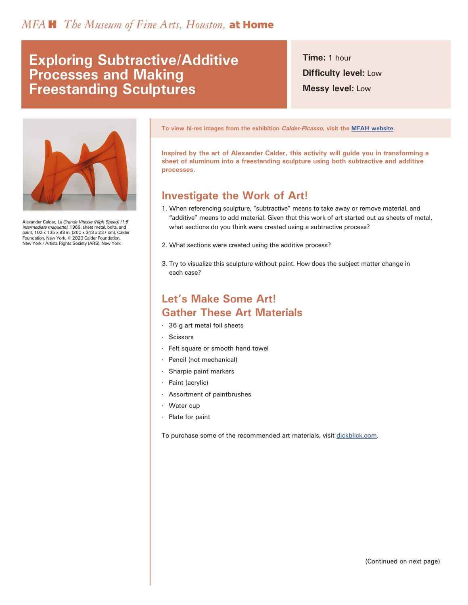# **Exploring Subtractive/Additive Processes and Making Freestanding Sculptures**

**Time:** 1 hour **Difficulty level:** Low **Messy level:** Low



Alexander Calder, La Grande Vitesse (High Speed) (1:5 intermediate maquette), 1969, sheet metal, bolts, and paint, 102 x 135 x 93 in. (260 x 343 x 237 cm), Calder Foundation, New York. © 2020 Calder Foundation, New York / Artists Rights Society (ARS), New York

**To view hi-res images from the exhibition Calder-Picasso, visit the [MFAH website.](https://www.mfah.org/exhibitions/calder-picasso)**

**Inspired by the art of Alexander Calder, this activity will guide you in transforming a sheet of aluminum into a freestanding sculpture using both subtractive and additive processes.**

#### **Investigate the Work of Art!**

- 1. When referencing sculpture, "subtractive" means to take away or remove material, and "additive" means to add material. Given that this work of art started out as sheets of metal, what sections do you think were created using a subtractive process?
- 2. What sections were created using the additive process?
- 3. Try to visualize this sculpture without paint. How does the subject matter change in each case?

### **Let's Make Some Art! Gather These Art Materials**

- · 36 g art metal foil sheets
- · Scissors
- Felt square or smooth hand towel
- · Pencil (not mechanical)
- Sharpie paint markers
- Paint (acrylic)
- Assortment of paintbrushes
- · Water cup
- Plate for paint

To purchase some of the recommended art materials, visit [dickblick.com](https://www.dickblick.com/lists/blicku/0B6CF8GYAMC04/publicview/).